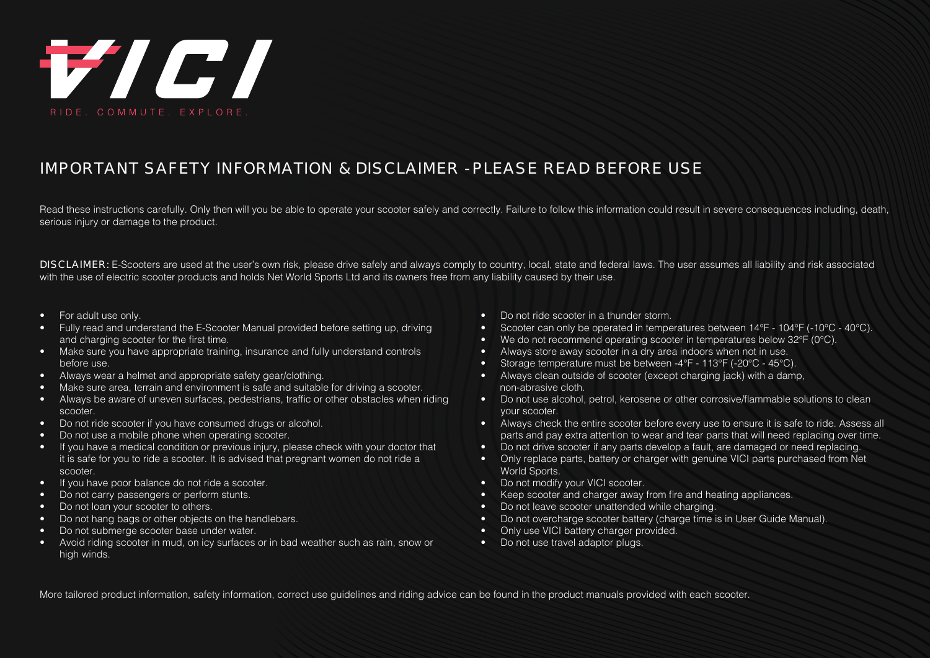

## IMPORTANT SAFETY INFORMATION & DISCLAIMER - PLEASE READ BEFORE USE

Read these instructions carefully. Only then will you be able to operate your scooter safely and correctly. Failure to follow this information could result in severe consequences including, death, serious injury or damage to the product.

**DISCLAIMER:** E-Scooters are used at the user's own risk, please drive safely and always comply to country, local, state and federal laws. The user assumes all liability and risk associated with the use of electric scooter products and holds Net World Sports Ltd and its owners free from any liability caused by their use.

- For adult use only.
- Fully read and understand the E-Scooter Manual provided before setting up, driving and charging scooter for the first time.
- Make sure you have appropriate training, insurance and fully understand controls before use.
- Always wear a helmet and appropriate safety gear/clothing.
- Make sure area, terrain and environment is safe and suitable for driving a scooter.
- Always be aware of uneven surfaces, pedestrians, traffic or other obstacles when riding scooter.
- Do not ride scooter if you have consumed drugs or alcohol.
- Do not use a mobile phone when operating scooter.
- If you have a medical condition or previous injury, please check with your doctor that it is safe for you to ride a scooter. It is advised that pregnant women do not ride a scooter.
- If you have poor balance do not ride a scooter.
- Do not carry passengers or perform stunts.
- Do not loan your scooter to others.
- Do not hang bags or other objects on the handlebars.
- Do not submerge scooter base under water.
- Avoid riding scooter in mud, on icy surfaces or in bad weather such as rain, snow or high winds.
- Do not ride scooter in a thunder storm.
- Scooter can only be operated in temperatures between 14°F 104°F (-10°C 40°C).
- We do not recommend operating scooter in temperatures below 32°F (0°C).
- Always store away scooter in a dry area indoors when not in use.
- Storage temperature must be between -4°F 113°F (-20°C 45°C).
- Always clean outside of scooter (except charging jack) with a damp, non-abrasive cloth.
- Do not use alcohol, petrol, kerosene or other corrosive/flammable solutions to clean your scooter.
- Always check the entire scooter before every use to ensure it is safe to ride. Assess all parts and pay extra attention to wear and tear parts that will need replacing over time.
- Do not drive scooter if any parts develop a fault, are damaged or need replacing.
- Only replace parts, battery or charger with genuine VICI parts purchased from Net World Sports.
- Do not modify your VICI scooter.
- Keep scooter and charger away from fire and heating appliances.
- Do not leave scooter unattended while charging.
- Do not overcharge scooter battery (charge time is in User Guide Manual).
- Only use VICI battery charger provided.
- Do not use travel adaptor plugs.

More tailored product information, safety information, correct use guidelines and riding advice can be found in the product manuals provided with each scooter.